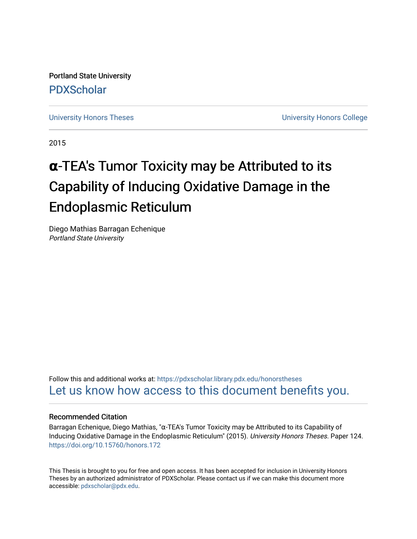Portland State University [PDXScholar](https://pdxscholar.library.pdx.edu/)

[University Honors Theses](https://pdxscholar.library.pdx.edu/honorstheses) **University Honors College** 

2015

# **α**-TEA's Tumor Toxicity may be Attributed to its Capability of Inducing Oxidative Damage in the Endoplasmic Reticulum

Diego Mathias Barragan Echenique Portland State University

Follow this and additional works at: [https://pdxscholar.library.pdx.edu/honorstheses](https://pdxscholar.library.pdx.edu/honorstheses?utm_source=pdxscholar.library.pdx.edu%2Fhonorstheses%2F124&utm_medium=PDF&utm_campaign=PDFCoverPages)  [Let us know how access to this document benefits you.](http://library.pdx.edu/services/pdxscholar-services/pdxscholar-feedback/) 

#### Recommended Citation

Barragan Echenique, Diego Mathias, "α-TEA's Tumor Toxicity may be Attributed to its Capability of Inducing Oxidative Damage in the Endoplasmic Reticulum" (2015). University Honors Theses. Paper 124. <https://doi.org/10.15760/honors.172>

This Thesis is brought to you for free and open access. It has been accepted for inclusion in University Honors Theses by an authorized administrator of PDXScholar. Please contact us if we can make this document more accessible: [pdxscholar@pdx.edu.](mailto:pdxscholar@pdx.edu)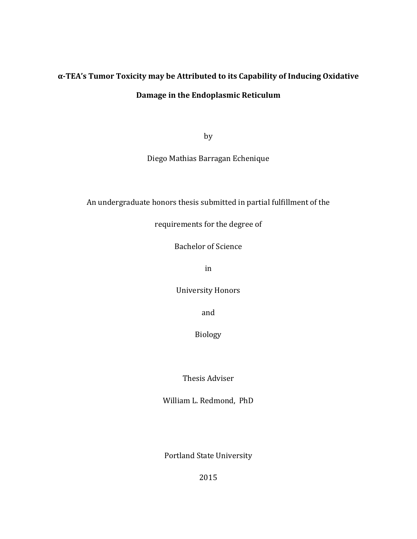# **α-TEA's Tumor Toxicity may be Attributed to its Capability of Inducing Oxidative Damage in the Endoplasmic Reticulum**

by

Diego Mathias Barragan Echenique

An undergraduate honors thesis submitted in partial fulfillment of the

requirements for the degree of

Bachelor of Science

in

University Honors

and

Biology 

Thesis Adviser

William L. Redmond, PhD

Portland State University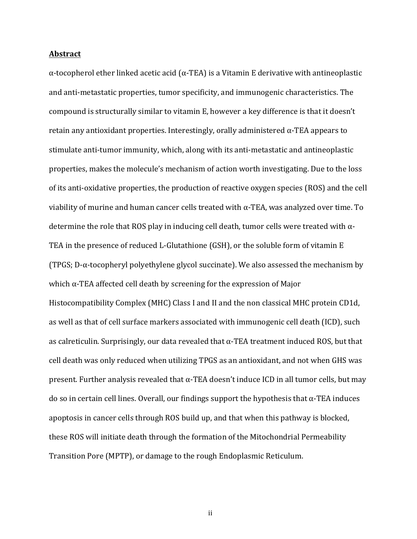#### **Abstract**

 $\alpha$ -tocopherol ether linked acetic acid ( $\alpha$ -TEA) is a Vitamin E derivative with antineoplastic and anti-metastatic properties, tumor specificity, and immunogenic characteristics. The compound is structurally similar to vitamin E, however a key difference is that it doesn't retain any antioxidant properties. Interestingly, orally administered  $\alpha$ -TEA appears to stimulate anti-tumor immunity, which, along with its anti-metastatic and antineoplastic properties, makes the molecule's mechanism of action worth investigating. Due to the loss of its anti-oxidative properties, the production of reactive oxygen species (ROS) and the cell viability of murine and human cancer cells treated with  $\alpha$ -TEA, was analyzed over time. To determine the role that ROS play in inducing cell death, tumor cells were treated with  $\alpha$ -TEA in the presence of reduced L-Glutathione  $(GSH)$ , or the soluble form of vitamin E (TPGS;  $D-\alpha$ -tocopheryl polyethylene glycol succinate). We also assessed the mechanism by which  $\alpha$ -TEA affected cell death by screening for the expression of Major Histocompatibility Complex (MHC) Class I and II and the non classical MHC protein CD1d, as well as that of cell surface markers associated with immunogenic cell death (ICD), such as calreticulin. Surprisingly, our data revealed that  $\alpha$ -TEA treatment induced ROS, but that cell death was only reduced when utilizing TPGS as an antioxidant, and not when GHS was present. Further analysis revealed that  $\alpha$ -TEA doesn't induce ICD in all tumor cells, but may do so in certain cell lines. Overall, our findings support the hypothesis that  $\alpha$ -TEA induces apoptosis in cancer cells through ROS build up, and that when this pathway is blocked, these ROS will initiate death through the formation of the Mitochondrial Permeability Transition Pore (MPTP), or damage to the rough Endoplasmic Reticulum.

ii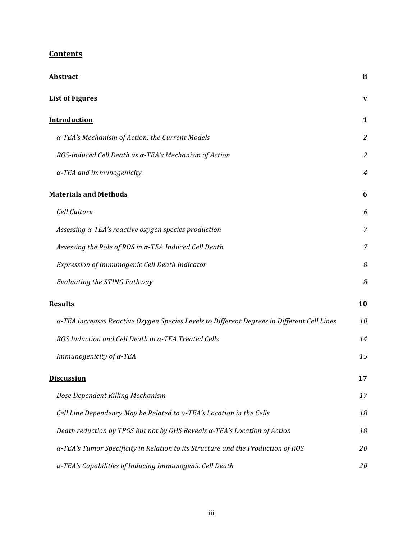| <b>Abstract</b>                                                                             | ii             |
|---------------------------------------------------------------------------------------------|----------------|
| <b>List of Figures</b>                                                                      | V              |
| <b>Introduction</b>                                                                         | 1              |
| $\alpha$ -TEA's Mechanism of Action; the Current Models                                     | $\overline{2}$ |
| ROS-induced Cell Death as $\alpha$ -TEA's Mechanism of Action                               | $\overline{2}$ |
| $\alpha$ -TEA and immunogenicity                                                            | 4              |
| <b>Materials and Methods</b>                                                                | 6              |
| Cell Culture                                                                                | 6              |
| Assessing $\alpha$ -TEA's reactive oxygen species production                                | 7              |
| Assessing the Role of ROS in $\alpha$ -TEA Induced Cell Death                               | 7              |
| Expression of Immunogenic Cell Death Indicator                                              | 8              |
| Evaluating the STING Pathway                                                                | 8              |
| <b>Results</b>                                                                              | 10             |
| α-TEA increases Reactive Oxygen Species Levels to Different Degrees in Different Cell Lines | 10             |
| ROS Induction and Cell Death in $\alpha$ -TEA Treated Cells                                 | 14             |
| Immunogenicity of $\alpha$ -TEA                                                             | 15             |
| <b>Discussion</b>                                                                           | 17             |
| Dose Dependent Killing Mechanism                                                            | 17             |
| Cell Line Dependency May be Related to $\alpha$ -TEA's Location in the Cells                | 18             |
| Death reduction by TPGS but not by GHS Reveals a-TEA's Location of Action                   | 18             |
| a-TEA's Tumor Specificity in Relation to its Structure and the Production of ROS            | 20             |
| α-TEA's Capabilities of Inducing Immunogenic Cell Death                                     | 20             |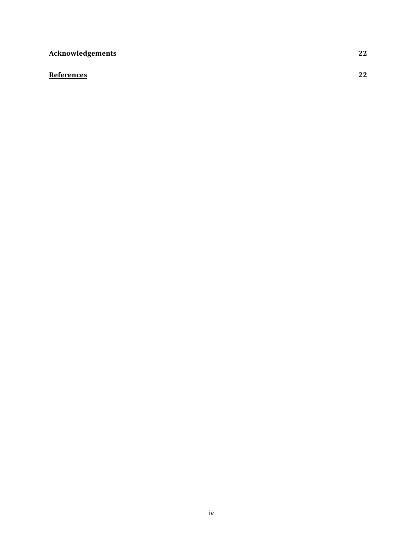# **Acknowledgements 22**

### **References 22**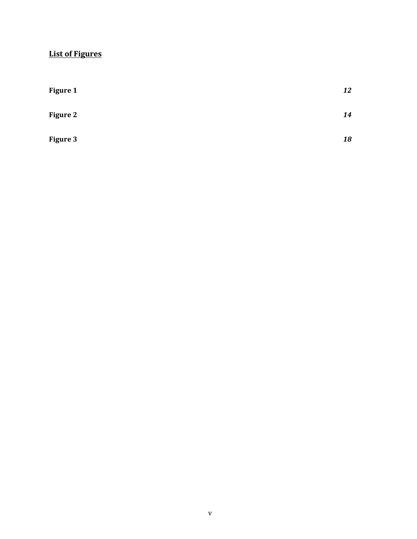# **List of Figures**

| <b>Figure 1</b> | 12 |
|-----------------|----|
| <b>Figure 2</b> | 14 |
| <b>Figure 3</b> | 18 |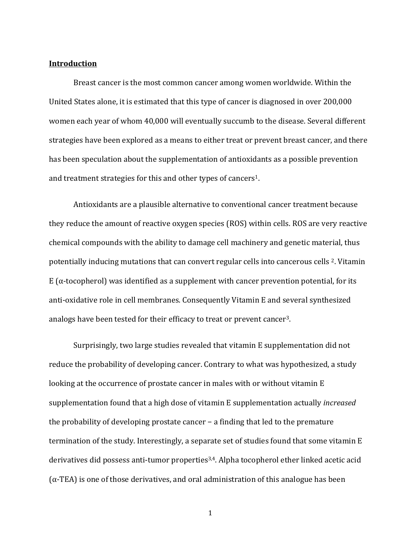#### **Introduction**

Breast cancer is the most common cancer among women worldwide. Within the United States alone, it is estimated that this type of cancer is diagnosed in over 200,000 women each year of whom 40,000 will eventually succumb to the disease. Several different strategies have been explored as a means to either treat or prevent breast cancer, and there has been speculation about the supplementation of antioxidants as a possible prevention and treatment strategies for this and other types of cancers<sup>1</sup>.

Antioxidants are a plausible alternative to conventional cancer treatment because they reduce the amount of reactive oxygen species (ROS) within cells. ROS are very reactive chemical compounds with the ability to damage cell machinery and genetic material, thus potentially inducing mutations that can convert regular cells into cancerous cells <sup>2</sup>. Vitamin E  $(\alpha$ -tocopherol) was identified as a supplement with cancer prevention potential, for its anti-oxidative role in cell membranes. Consequently Vitamin E and several synthesized analogs have been tested for their efficacy to treat or prevent cancer<sup>3</sup>.

Surprisingly, two large studies revealed that vitamin E supplementation did not reduce the probability of developing cancer. Contrary to what was hypothesized, a study looking at the occurrence of prostate cancer in males with or without vitamin  $E$ supplementation found that a high dose of vitamin E supplementation actually *increased* the probability of developing prostate cancer  $-$  a finding that led to the premature termination of the study. Interestingly, a separate set of studies found that some vitamin E derivatives did possess anti-tumor properties<sup>3,4</sup>. Alpha tocopherol ether linked acetic acid  $(\alpha$ -TEA) is one of those derivatives, and oral administration of this analogue has been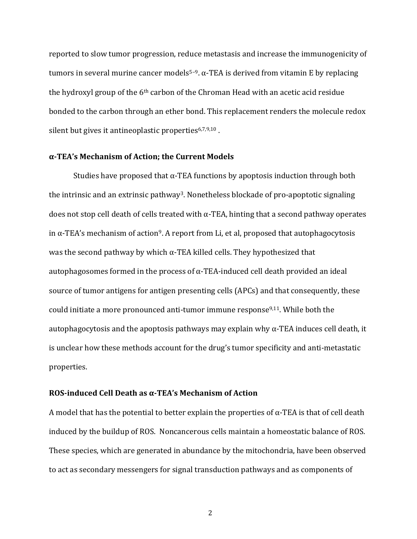reported to slow tumor progression, reduce metastasis and increase the immunogenicity of tumors in several murine cancer models<sup>5-9</sup>. α-TEA is derived from vitamin E by replacing the hydroxyl group of the  $6<sup>th</sup>$  carbon of the Chroman Head with an acetic acid residue bonded to the carbon through an ether bond. This replacement renders the molecule redox silent but gives it antineoplastic properties  $6,7,9,10$ .

#### **α-TEA's Mechanism of Action; the Current Models**

Studies have proposed that  $\alpha$ -TEA functions by apoptosis induction through both the intrinsic and an extrinsic pathway<sup>3</sup>. Nonetheless blockade of pro-apoptotic signaling does not stop cell death of cells treated with  $\alpha$ -TEA, hinting that a second pathway operates in  $\alpha$ -TEA's mechanism of action<sup>9</sup>. A report from Li, et al, proposed that autophagocytosis was the second pathway by which  $\alpha$ -TEA killed cells. They hypothesized that autophagosomes formed in the process of  $\alpha$ -TEA-induced cell death provided an ideal source of tumor antigens for antigen presenting cells (APCs) and that consequently, these could initiate a more pronounced anti-tumor immune response<sup>9,11</sup>. While both the autophagocytosis and the apoptosis pathways may explain why  $\alpha$ -TEA induces cell death, it is unclear how these methods account for the drug's tumor specificity and anti-metastatic properties. 

#### ROS-induced Cell Death as α-TEA's Mechanism of Action

A model that has the potential to better explain the properties of  $\alpha$ -TEA is that of cell death induced by the buildup of ROS. Noncancerous cells maintain a homeostatic balance of ROS. These species, which are generated in abundance by the mitochondria, have been observed to act as secondary messengers for signal transduction pathways and as components of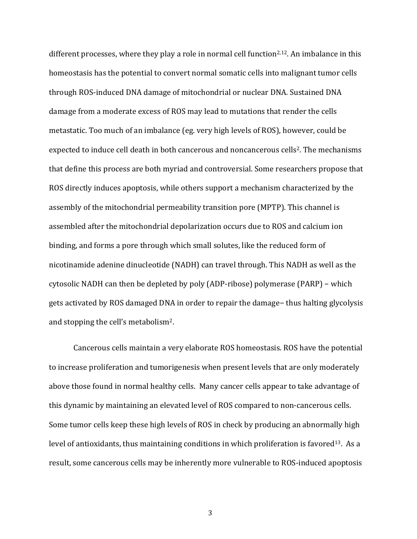different processes, where they play a role in normal cell function<sup>2,12</sup>. An imbalance in this homeostasis has the potential to convert normal somatic cells into malignant tumor cells through ROS-induced DNA damage of mitochondrial or nuclear DNA. Sustained DNA damage from a moderate excess of ROS may lead to mutations that render the cells metastatic. Too much of an imbalance (eg. very high levels of ROS), however, could be expected to induce cell death in both cancerous and noncancerous cells<sup>2</sup>. The mechanisms that define this process are both myriad and controversial. Some researchers propose that ROS directly induces apoptosis, while others support a mechanism characterized by the assembly of the mitochondrial permeability transition pore (MPTP). This channel is assembled after the mitochondrial depolarization occurs due to ROS and calcium ion binding, and forms a pore through which small solutes, like the reduced form of nicotinamide adenine dinucleotide (NADH) can travel through. This NADH as well as the cytosolic NADH can then be depleted by poly (ADP-ribose) polymerase  $(PARP)$  – which gets activated by ROS damaged DNA in order to repair the damage– thus halting glycolysis and stopping the cell's metabolism<sup>2</sup>.

Cancerous cells maintain a very elaborate ROS homeostasis. ROS have the potential to increase proliferation and tumorigenesis when present levels that are only moderately above those found in normal healthy cells. Many cancer cells appear to take advantage of this dynamic by maintaining an elevated level of ROS compared to non-cancerous cells. Some tumor cells keep these high levels of ROS in check by producing an abnormally high level of antioxidants, thus maintaining conditions in which proliferation is favored<sup>13</sup>. As a result, some cancerous cells may be inherently more vulnerable to ROS-induced apoptosis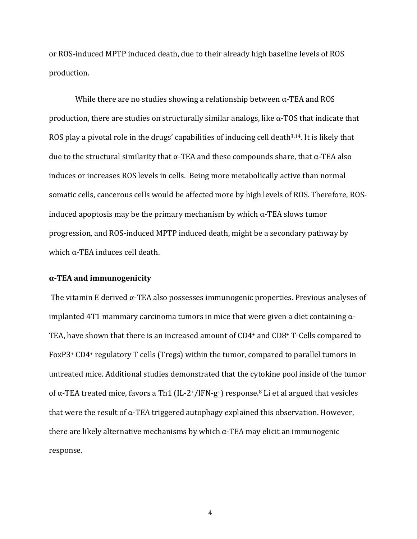or ROS-induced MPTP induced death, due to their already high baseline levels of ROS production.

While there are no studies showing a relationship between  $\alpha$ -TEA and ROS production, there are studies on structurally similar analogs, like  $\alpha$ -TOS that indicate that ROS play a pivotal role in the drugs' capabilities of inducing cell death $3,14$ . It is likely that due to the structural similarity that  $\alpha$ -TEA and these compounds share, that  $\alpha$ -TEA also induces or increases ROS levels in cells. Being more metabolically active than normal somatic cells, cancerous cells would be affected more by high levels of ROS. Therefore, ROSinduced apoptosis may be the primary mechanism by which  $\alpha$ -TEA slows tumor progression, and ROS-induced MPTP induced death, might be a secondary pathway by which  $\alpha$ -TEA induces cell death.

#### **α-TEA and immunogenicity**

The vitamin E derived  $\alpha$ -TEA also possesses immunogenic properties. Previous analyses of implanted  $4T1$  mammary carcinoma tumors in mice that were given a diet containing  $\alpha$ -TEA, have shown that there is an increased amount of  $CD4+$  and  $CD8+$  T-Cells compared to FoxP3<sup>+</sup> CD4<sup>+</sup> regulatory T cells (Tregs) within the tumor, compared to parallel tumors in untreated mice. Additional studies demonstrated that the cytokine pool inside of the tumor of  $\alpha$ -TEA treated mice, favors a Th1 (IL-2+/IFN-g<sup>+</sup>) response.<sup>8</sup> Li et al argued that vesicles that were the result of  $\alpha$ -TEA triggered autophagy explained this observation. However, there are likely alternative mechanisms by which  $\alpha$ -TEA may elicit an immunogenic response.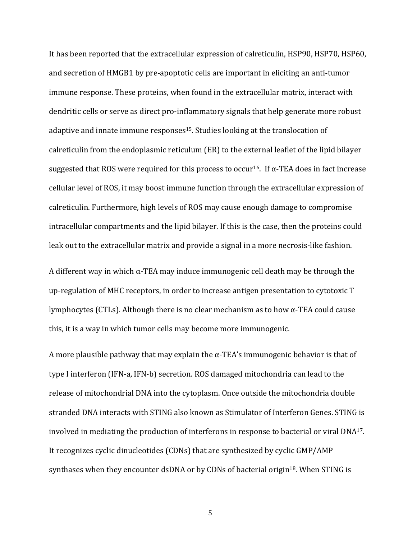It has been reported that the extracellular expression of calreticulin, HSP90, HSP70, HSP60, and secretion of HMGB1 by pre-apoptotic cells are important in eliciting an anti-tumor immune response. These proteins, when found in the extracellular matrix, interact with dendritic cells or serve as direct pro-inflammatory signals that help generate more robust adaptive and innate immune responses<sup>15</sup>. Studies looking at the translocation of calreticulin from the endoplasmic reticulum (ER) to the external leaflet of the lipid bilayer suggested that ROS were required for this process to occur<sup>16</sup>. If  $\alpha$ -TEA does in fact increase cellular level of ROS, it may boost immune function through the extracellular expression of calreticulin. Furthermore, high levels of ROS may cause enough damage to compromise intracellular compartments and the lipid bilayer. If this is the case, then the proteins could leak out to the extracellular matrix and provide a signal in a more necrosis-like fashion.

A different way in which  $\alpha$ -TEA may induce immunogenic cell death may be through the up-regulation of MHC receptors, in order to increase antigen presentation to cytotoxic T lymphocytes (CTLs). Although there is no clear mechanism as to how  $\alpha$ -TEA could cause this, it is a way in which tumor cells may become more immunogenic.

A more plausible pathway that may explain the  $\alpha$ -TEA's immunogenic behavior is that of type I interferon (IFN-a, IFN-b) secretion. ROS damaged mitochondria can lead to the release of mitochondrial DNA into the cytoplasm. Once outside the mitochondria double stranded DNA interacts with STING also known as Stimulator of Interferon Genes. STING is involved in mediating the production of interferons in response to bacterial or viral  $DNA^{17}$ . It recognizes cyclic dinucleotides (CDNs) that are synthesized by cyclic GMP/AMP synthases when they encounter dsDNA or by CDNs of bacterial origin<sup>18</sup>. When STING is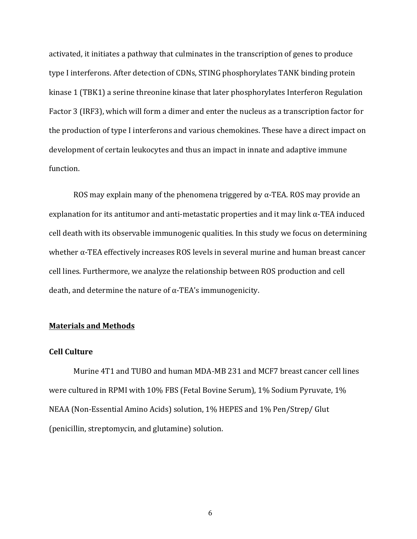activated, it initiates a pathway that culminates in the transcription of genes to produce type I interferons. After detection of CDNs, STING phosphorylates TANK binding protein kinase 1 (TBK1) a serine threonine kinase that later phosphorylates Interferon Regulation Factor 3 (IRF3), which will form a dimer and enter the nucleus as a transcription factor for the production of type I interferons and various chemokines. These have a direct impact on development of certain leukocytes and thus an impact in innate and adaptive immune function.

ROS may explain many of the phenomena triggered by  $\alpha$ -TEA. ROS may provide an explanation for its antitumor and anti-metastatic properties and it may link  $\alpha$ -TEA induced cell death with its observable immunogenic qualities. In this study we focus on determining whether  $\alpha$ -TEA effectively increases ROS levels in several murine and human breast cancer cell lines. Furthermore, we analyze the relationship between ROS production and cell death, and determine the nature of  $\alpha$ -TEA's immunogenicity.

#### **Materials and Methods**

#### **Cell Culture**

Murine 4T1 and TUBO and human MDA-MB 231 and MCF7 breast cancer cell lines were cultured in RPMI with 10% FBS (Fetal Bovine Serum), 1% Sodium Pyruvate, 1% NEAA (Non-Essential Amino Acids) solution, 1% HEPES and 1% Pen/Strep/ Glut (penicillin, streptomycin, and glutamine) solution.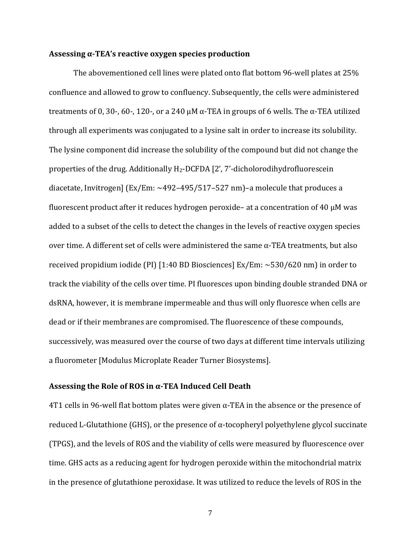#### **Assessing α-TEA's reactive oxygen species production**

The abovementioned cell lines were plated onto flat bottom 96-well plates at 25% confluence and allowed to grow to confluency. Subsequently, the cells were administered treatments of 0, 30-, 60-, 120-, or a 240 μM α-TEA in groups of 6 wells. The α-TEA utilized through all experiments was conjugated to a lysine salt in order to increase its solubility. The lysine component did increase the solubility of the compound but did not change the properties of the drug. Additionally  $H_2$ -DCFDA  $[2', 7'$ -dicholorodihydrofluorescein diacetate, Invitrogen]  $\text{[Ex/Em: }\sim492-495/517-527 \text{ nm}$  –a molecule that produces a fluorescent product after it reduces hydrogen peroxide- at a concentration of 40  $\mu$ M was added to a subset of the cells to detect the changes in the levels of reactive oxygen species over time. A different set of cells were administered the same  $\alpha$ -TEA treatments, but also received propidium iodide (PI) [1:40 BD Biosciences]  $Ex/Em: \sim 530/620$  nm) in order to track the viability of the cells over time. PI fluoresces upon binding double stranded DNA or dsRNA, however, it is membrane impermeable and thus will only fluoresce when cells are dead or if their membranes are compromised. The fluorescence of these compounds, successively, was measured over the course of two days at different time intervals utilizing a fluorometer [Modulus Microplate Reader Turner Biosystems].

#### Assessing the Role of ROS in  $\alpha$ -TEA Induced Cell Death

4T1 cells in 96-well flat bottom plates were given  $\alpha$ -TEA in the absence or the presence of reduced L-Glutathione (GHS), or the presence of  $\alpha$ -tocopheryl polyethylene glycol succinate (TPGS), and the levels of ROS and the viability of cells were measured by fluorescence over time. GHS acts as a reducing agent for hydrogen peroxide within the mitochondrial matrix in the presence of glutathione peroxidase. It was utilized to reduce the levels of ROS in the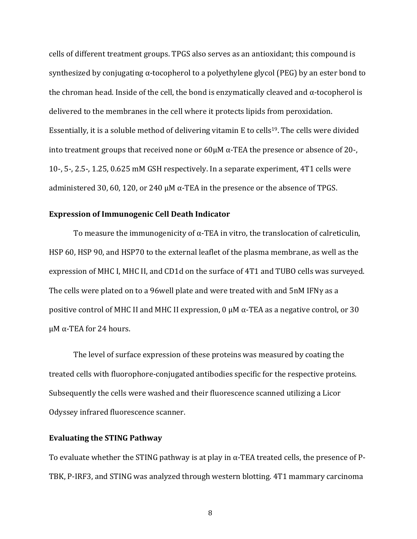cells of different treatment groups. TPGS also serves as an antioxidant; this compound is synthesized by conjugating  $\alpha$ -tocopherol to a polyethylene glycol (PEG) by an ester bond to the chroman head. Inside of the cell, the bond is enzymatically cleaved and  $\alpha$ -tocopherol is delivered to the membranes in the cell where it protects lipids from peroxidation. Essentially, it is a soluble method of delivering vitamin E to cells<sup>19</sup>. The cells were divided into treatment groups that received none or  $60\mu$ M  $\alpha$ -TEA the presence or absence of 20-, 10-, 5-, 2.5-, 1.25, 0.625 mM GSH respectively. In a separate experiment, 4T1 cells were administered 30, 60, 120, or 240 μM  $\alpha$ -TEA in the presence or the absence of TPGS.

#### **Expression of Immunogenic Cell Death Indicator**

To measure the immunogenicity of  $\alpha$ -TEA in vitro, the translocation of calreticulin, HSP 60, HSP 90, and HSP70 to the external leaflet of the plasma membrane, as well as the expression of MHC I, MHC II, and CD1d on the surface of 4T1 and TUBO cells was surveyed. The cells were plated on to a 96 well plate and were treated with and  $5nM$  IFN $\gamma$  as a positive control of MHC II and MHC II expression,  $0 \mu$ M  $\alpha$ -TEA as a negative control, or 30 μ $M$  α-TEA for 24 hours.

The level of surface expression of these proteins was measured by coating the treated cells with fluorophore-conjugated antibodies specific for the respective proteins. Subsequently the cells were washed and their fluorescence scanned utilizing a Licor Odyssey infrared fluorescence scanner.

#### **Evaluating the STING Pathway**

To evaluate whether the STING pathway is at play in  $\alpha$ -TEA treated cells, the presence of P-TBK, P-IRF3, and STING was analyzed through western blotting. 4T1 mammary carcinoma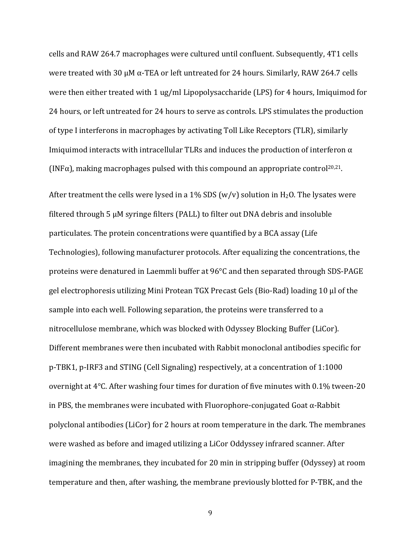cells and RAW 264.7 macrophages were cultured until confluent. Subsequently, 4T1 cells were treated with 30  $\mu$ M  $\alpha$ -TEA or left untreated for 24 hours. Similarly, RAW 264.7 cells were then either treated with 1 ug/ml Lipopolysaccharide (LPS) for 4 hours, Imiquimod for 24 hours, or left untreated for 24 hours to serve as controls. LPS stimulates the production of type I interferons in macrophages by activating Toll Like Receptors (TLR), similarly Imiquimod interacts with intracellular TLRs and induces the production of interferon  $\alpha$ (INF $\alpha$ ), making macrophages pulsed with this compound an appropriate control<sup>20,21</sup>.

After treatment the cells were lysed in a 1% SDS (w/v) solution in H<sub>2</sub>O. The lysates were filtered through  $5 \mu$ M syringe filters (PALL) to filter out DNA debris and insoluble particulates. The protein concentrations were quantified by a BCA assay (Life Technologies), following manufacturer protocols. After equalizing the concentrations, the proteins were denatured in Laemmli buffer at 96°C and then separated through SDS-PAGE gel electrophoresis utilizing Mini Protean TGX Precast Gels (Bio-Rad) loading 10 µl of the sample into each well. Following separation, the proteins were transferred to a nitrocellulose membrane, which was blocked with Odyssey Blocking Buffer (LiCor). Different membranes were then incubated with Rabbit monoclonal antibodies specific for p-TBK1, p-IRF3 and STING (Cell Signaling) respectively, at a concentration of 1:1000 overnight at  $4^{\circ}$ C. After washing four times for duration of five minutes with 0.1% tween-20 in PBS, the membranes were incubated with Fluorophore-conjugated Goat  $\alpha$ -Rabbit polyclonal antibodies (LiCor) for 2 hours at room temperature in the dark. The membranes were washed as before and imaged utilizing a LiCor Oddyssey infrared scanner. After imagining the membranes, they incubated for 20 min in stripping buffer (Odyssey) at room temperature and then, after washing, the membrane previously blotted for P-TBK, and the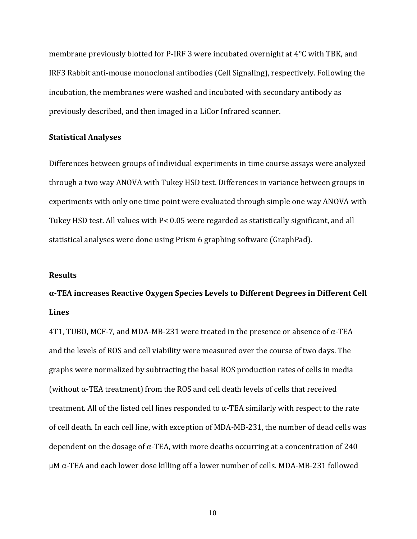membrane previously blotted for P-IRF 3 were incubated overnight at  $4^{\circ}$ C with TBK, and IRF3 Rabbit anti-mouse monoclonal antibodies (Cell Signaling), respectively. Following the incubation, the membranes were washed and incubated with secondary antibody as previously described, and then imaged in a LiCor Infrared scanner.

#### **Statistical Analyses**

Differences between groups of individual experiments in time course assays were analyzed through a two way ANOVA with Tukey HSD test. Differences in variance between groups in experiments with only one time point were evaluated through simple one way ANOVA with Tukey HSD test. All values with P< 0.05 were regarded as statistically significant, and all statistical analyses were done using Prism 6 graphing software (GraphPad).

#### **Results**

# **α-TEA increases Reactive Oxygen Species Levels to Different Degrees in Different Cell Lines**

4T1, TUBO, MCF-7, and MDA-MB-231 were treated in the presence or absence of  $\alpha$ -TEA and the levels of ROS and cell viability were measured over the course of two days. The graphs were normalized by subtracting the basal ROS production rates of cells in media (without  $\alpha$ -TEA treatment) from the ROS and cell death levels of cells that received treatment. All of the listed cell lines responded to  $\alpha$ -TEA similarly with respect to the rate of cell death. In each cell line, with exception of MDA-MB-231, the number of dead cells was dependent on the dosage of  $\alpha$ -TEA, with more deaths occurring at a concentration of 240 μ $M \alpha$ -TEA and each lower dose killing off a lower number of cells. MDA-MB-231 followed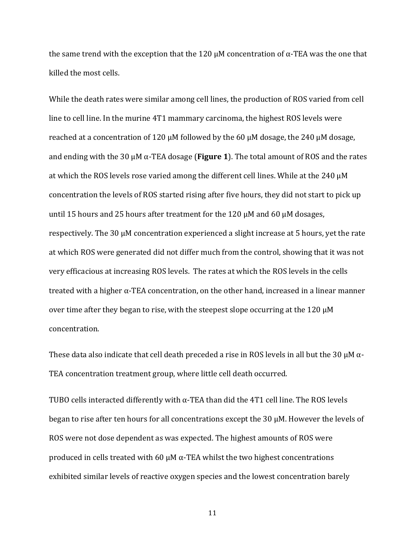the same trend with the exception that the 120  $\mu$ M concentration of  $\alpha$ -TEA was the one that killed the most cells.

While the death rates were similar among cell lines, the production of ROS varied from cell line to cell line. In the murine 4T1 mammary carcinoma, the highest ROS levels were reached at a concentration of 120  $\mu$ M followed by the 60  $\mu$ M dosage, the 240  $\mu$ M dosage, and ending with the 30  $\mu$ M  $\alpha$ -TEA dosage (**Figure 1**). The total amount of ROS and the rates at which the ROS levels rose varied among the different cell lines. While at the 240  $\mu$ M concentration the levels of ROS started rising after five hours, they did not start to pick up until 15 hours and 25 hours after treatment for the 120 μM and 60 μM dosages, respectively. The 30 μM concentration experienced a slight increase at 5 hours, yet the rate at which ROS were generated did not differ much from the control, showing that it was not very efficacious at increasing ROS levels. The rates at which the ROS levels in the cells treated with a higher  $\alpha$ -TEA concentration, on the other hand, increased in a linear manner over time after they began to rise, with the steepest slope occurring at the 120  $\mu$ M concentration. 

These data also indicate that cell death preceded a rise in ROS levels in all but the 30  $\mu$ M  $\alpha$ -TEA concentration treatment group, where little cell death occurred.

TUBO cells interacted differently with  $\alpha$ -TEA than did the 4T1 cell line. The ROS levels began to rise after ten hours for all concentrations except the  $30 \mu$ M. However the levels of ROS were not dose dependent as was expected. The highest amounts of ROS were produced in cells treated with 60  $\mu$ M  $\alpha$ -TEA whilst the two highest concentrations exhibited similar levels of reactive oxygen species and the lowest concentration barely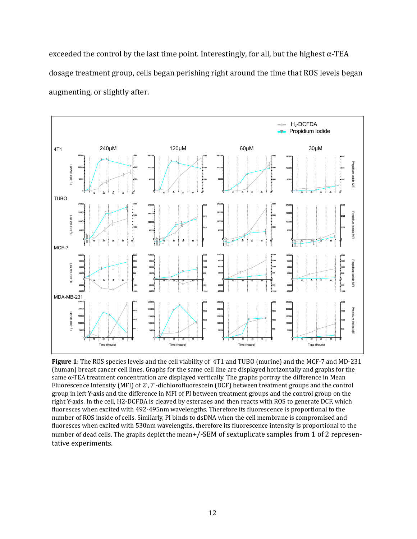exceeded the control by the last time point. Interestingly, for all, but the highest  $\alpha$ -TEA dosage treatment group, cells began perishing right around the time that ROS levels began augmenting, or slightly after.



**Figure 1**: The ROS species levels and the cell viability of 4T1 and TUBO (murine) and the MCF-7 and MD-231 (human) breast cancer cell lines. Graphs for the same cell line are displayed horizontally and graphs for the same  $\alpha$ -TEA treatment concentration are displayed vertically. The graphs portray the difference in Mean Fluorescence Intensity (MFI) of 2', 7'-dichlorofluorescein (DCF) between treatment groups and the control group in left Y-axis and the difference in MFI of PI between treatment groups and the control group on the right Y-axis. In the cell, H2-DCFDA is cleaved by esterases and then reacts with ROS to generate DCF, which fluoresces when excited with 492-495nm wavelengths. Therefore its fluorescence is proportional to the number of ROS inside of cells. Similarly, PI binds to dsDNA when the cell membrane is compromised and fluoresces when excited with 530nm wavelengths, therefore its fluorescence intensity is proportional to the number of dead cells. The graphs depict the mean+/-SEM of sextuplicate samples from 1 of 2 representative experiments.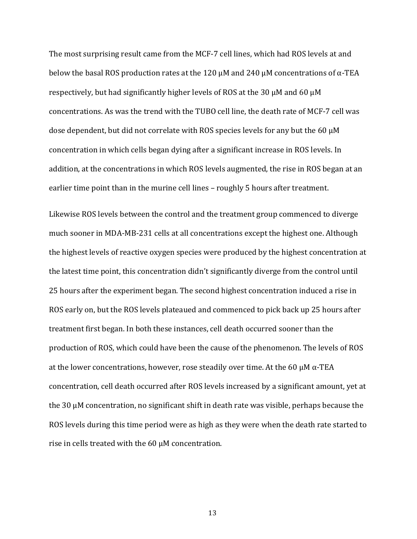The most surprising result came from the MCF-7 cell lines, which had ROS levels at and below the basal ROS production rates at the 120  $\mu$ M and 240  $\mu$ M concentrations of  $\alpha$ -TEA respectively, but had significantly higher levels of ROS at the 30  $\mu$ M and 60  $\mu$ M concentrations. As was the trend with the TUBO cell line, the death rate of MCF-7 cell was dose dependent, but did not correlate with ROS species levels for any but the 60  $\mu$ M concentration in which cells began dying after a significant increase in ROS levels. In addition, at the concentrations in which ROS levels augmented, the rise in ROS began at an earlier time point than in the murine cell lines – roughly 5 hours after treatment.

Likewise ROS levels between the control and the treatment group commenced to diverge much sooner in MDA-MB-231 cells at all concentrations except the highest one. Although the highest levels of reactive oxygen species were produced by the highest concentration at the latest time point, this concentration didn't significantly diverge from the control until 25 hours after the experiment began. The second highest concentration induced a rise in ROS early on, but the ROS levels plateaued and commenced to pick back up 25 hours after treatment first began. In both these instances, cell death occurred sooner than the production of ROS, which could have been the cause of the phenomenon. The levels of ROS at the lower concentrations, however, rose steadily over time. At the 60  $\mu$ M  $\alpha$ -TEA concentration, cell death occurred after ROS levels increased by a significant amount, yet at the  $30 \mu$ M concentration, no significant shift in death rate was visible, perhaps because the ROS levels during this time period were as high as they were when the death rate started to rise in cells treated with the  $60 \mu$ M concentration.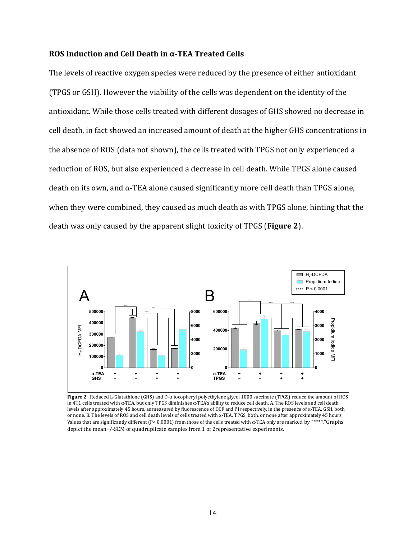#### **ROS** Induction and Cell Death in α-TEA Treated Cells

The levels of reactive oxygen species were reduced by the presence of either antioxidant (TPGS or GSH). However the viability of the cells was dependent on the identity of the antioxidant. While those cells treated with different dosages of GHS showed no decrease in cell death, in fact showed an increased amount of death at the higher GHS concentrations in the absence of ROS (data not shown), the cells treated with TPGS not only experienced a reduction of ROS, but also experienced a decrease in cell death. While TPGS alone caused  $de$  death on its own, and  $\alpha$ -TEA alone caused significantly more cell death than TPGS alone, when they were combined, they caused as much death as with TPGS alone, hinting that the death was only caused by the apparent slight toxicity of TPGS (**Figure 2**).



**Figure 2**: Reduced L-Glutathione (GHS) and D-α tocopheryl polyethylene glycol 1000 succinate (TPGS) reduce the amount of ROS in 4T1 cells treated with α-TEA, but only TPGS diminishes α-TEA's ability to reduce cell death. A. The ROS levels and cell death levels after approximately 45 hours, as measured by �luorescence of DCF and PI respectively, in the presence of α-TEA, GSH, both, or none. B. The levels of ROS and cell death levels of cells treated with α-TEA, TPGS, both, or none after approximately 45 hours. Values that are significantly different (P< 0.0001) from those of the cells treated with  $\alpha$ -TEA only are marked by "\*\*\*\*."Graphs depict the mean+/-SEM of quadruplicate samples from 1 of 2representative experiments.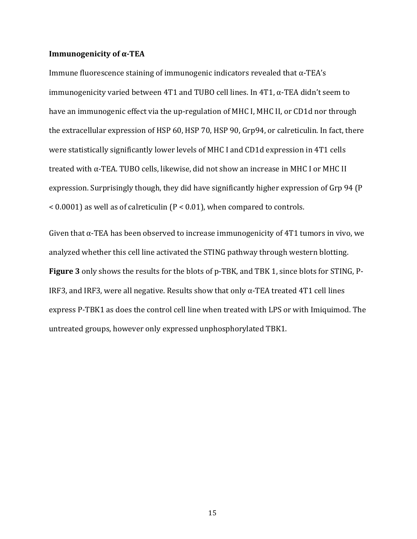#### **Immunogenicity of**  $\alpha$ **-TEA**

Immune fluorescence staining of immunogenic indicators revealed that  $\alpha$ -TEA's immunogenicity varied between  $4T1$  and TUBO cell lines. In  $4T1$ ,  $\alpha$ -TEA didn't seem to have an immunogenic effect via the up-regulation of MHC I, MHC II, or CD1d nor through the extracellular expression of HSP 60, HSP 70, HSP 90, Grp94, or calreticulin. In fact, there were statistically significantly lower levels of MHC I and CD1d expression in 4T1 cells treated with  $\alpha$ -TEA. TUBO cells, likewise, did not show an increase in MHC I or MHC II expression. Surprisingly though, they did have significantly higher expression of Grp 94 (P)  $\leq$  0.0001) as well as of calreticulin (P $\leq$  0.01), when compared to controls.

Given that  $\alpha$ -TEA has been observed to increase immunogenicity of 4T1 tumors in vivo, we analyzed whether this cell line activated the STING pathway through western blotting. **Figure 3** only shows the results for the blots of p-TBK, and TBK 1, since blots for STING, P-IRF3, and IRF3, were all negative. Results show that only  $\alpha$ -TEA treated 4T1 cell lines express P-TBK1 as does the control cell line when treated with LPS or with Imiquimod. The untreated groups, however only expressed unphosphorylated TBK1.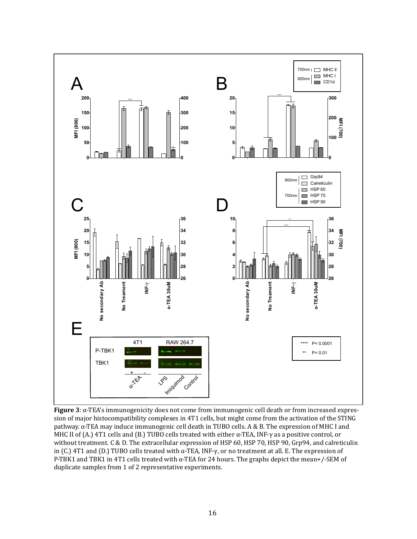

**Figure 3**: α-TEA's immunogenicity does not come from immunogenic cell death or from increased expression of major histocompatibility complexes in 4T1 cells, but might come from the activation of the STING pathway. α-TEA may induce immunogenic cell death in TUBO cells. A & B. The expression of MHC I and MHC II of (A.) 4T1 cells and (B.) TUBO cells treated with either  $\alpha$ -TEA, INF- $\gamma$  as a positive control, or without treatment. C & D. The extracellular expression of HSP 60, HSP 70, HSP 90, Grp94, and calreticulin in (C.) 4T1 and (D.) TUBO cells treated with α-TEA, INF-γ, or no treatment at all. E. The expression of P-TBK1 and TBK1 in 4T1 cells treated with α-TEA for 24 hours. The graphs depict the mean+/-SEM of duplicate samples from 1 of 2 representative experiments.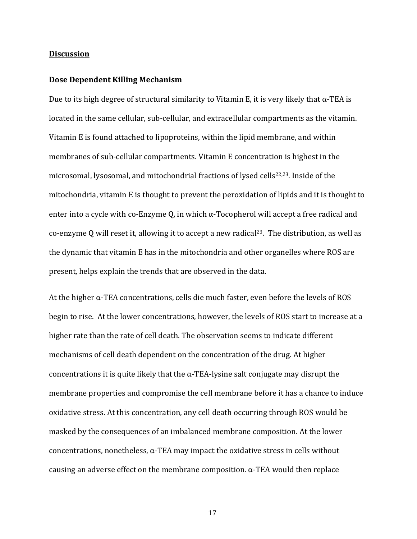#### **Discussion**

#### **Dose Dependent Killing Mechanism**

Due to its high degree of structural similarity to Vitamin E, it is very likely that  $\alpha$ -TEA is located in the same cellular, sub-cellular, and extracellular compartments as the vitamin. Vitamin E is found attached to lipoproteins, within the lipid membrane, and within membranes of sub-cellular compartments. Vitamin E concentration is highest in the microsomal, lysosomal, and mitochondrial fractions of lysed cells<sup>22,23</sup>. Inside of the mitochondria, vitamin  $E$  is thought to prevent the peroxidation of lipids and it is thought to enter into a cycle with co-Enzyme Q, in which  $\alpha$ -Tocopherol will accept a free radical and co-enzyme Q will reset it, allowing it to accept a new radical<sup>23</sup>. The distribution, as well as the dynamic that vitamin E has in the mitochondria and other organelles where ROS are present, helps explain the trends that are observed in the data.

At the higher  $\alpha$ -TEA concentrations, cells die much faster, even before the levels of ROS begin to rise. At the lower concentrations, however, the levels of ROS start to increase at a higher rate than the rate of cell death. The observation seems to indicate different mechanisms of cell death dependent on the concentration of the drug. At higher concentrations it is quite likely that the  $\alpha$ -TEA-lysine salt conjugate may disrupt the membrane properties and compromise the cell membrane before it has a chance to induce oxidative stress. At this concentration, any cell death occurring through ROS would be masked by the consequences of an imbalanced membrane composition. At the lower concentrations, nonetheless,  $\alpha$ -TEA may impact the oxidative stress in cells without causing an adverse effect on the membrane composition.  $\alpha$ -TEA would then replace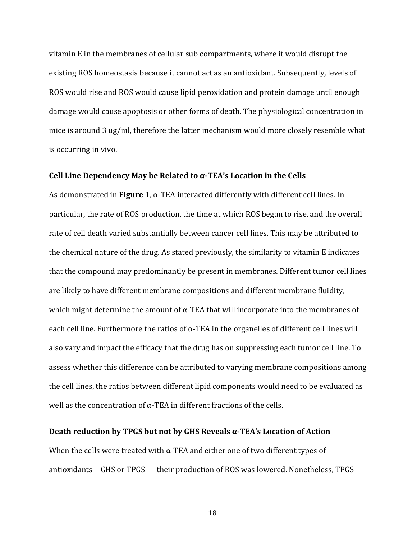vitamin E in the membranes of cellular sub compartments, where it would disrupt the existing ROS homeostasis because it cannot act as an antioxidant. Subsequently, levels of ROS would rise and ROS would cause lipid peroxidation and protein damage until enough damage would cause apoptosis or other forms of death. The physiological concentration in mice is around 3 ug/ml, therefore the latter mechanism would more closely resemble what is occurring in vivo.

#### Cell Line Dependency May be Related to  $\alpha$ -TEA's Location in the Cells

As demonstrated in **Figure 1**,  $\alpha$ -TEA interacted differently with different cell lines. In particular, the rate of ROS production, the time at which ROS began to rise, and the overall rate of cell death varied substantially between cancer cell lines. This may be attributed to the chemical nature of the drug. As stated previously, the similarity to vitamin E indicates that the compound may predominantly be present in membranes. Different tumor cell lines are likely to have different membrane compositions and different membrane fluidity, which might determine the amount of  $\alpha$ -TEA that will incorporate into the membranes of each cell line. Furthermore the ratios of  $\alpha$ -TEA in the organelles of different cell lines will also vary and impact the efficacy that the drug has on suppressing each tumor cell line. To assess whether this difference can be attributed to varying membrane compositions among the cell lines, the ratios between different lipid components would need to be evaluated as well as the concentration of  $\alpha$ -TEA in different fractions of the cells.

#### **Death reduction by TPGS but not by GHS Reveals**  $\alpha$ **-TEA's Location of Action**

When the cells were treated with  $\alpha$ -TEA and either one of two different types of antioxidants—GHS or TPGS — their production of ROS was lowered. Nonetheless, TPGS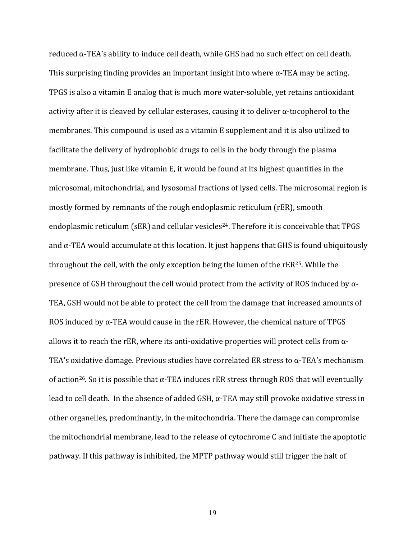reduced  $\alpha$ -TEA's ability to induce cell death, while GHS had no such effect on cell death. This surprising finding provides an important insight into where  $\alpha$ -TEA may be acting. TPGS is also a vitamin E analog that is much more water-soluble, yet retains antioxidant activity after it is cleaved by cellular esterases, causing it to deliver  $\alpha$ -tocopherol to the membranes. This compound is used as a vitamin E supplement and it is also utilized to facilitate the delivery of hydrophobic drugs to cells in the body through the plasma membrane. Thus, just like vitamin E, it would be found at its highest quantities in the microsomal, mitochondrial, and lysosomal fractions of lysed cells. The microsomal region is mostly formed by remnants of the rough endoplasmic reticulum (rER), smooth endoplasmic reticulum (sER) and cellular vesicles<sup>24</sup>. Therefore it is conceivable that TPGS and  $\alpha$ -TEA would accumulate at this location. It just happens that GHS is found ubiquitously throughout the cell, with the only exception being the lumen of the  $rER^{25}$ . While the presence of GSH throughout the cell would protect from the activity of ROS induced by  $\alpha$ -TEA, GSH would not be able to protect the cell from the damage that increased amounts of ROS induced by  $\alpha$ -TEA would cause in the rER. However, the chemical nature of TPGS allows it to reach the rER, where its anti-oxidative properties will protect cells from  $\alpha$ -TEA's oxidative damage. Previous studies have correlated ER stress to  $\alpha$ -TEA's mechanism of action<sup>26</sup>. So it is possible that  $\alpha$ -TEA induces rER stress through ROS that will eventually lead to cell death. In the absence of added  $GSH$ ,  $\alpha$ -TEA may still provoke oxidative stress in other organelles, predominantly, in the mitochondria. There the damage can compromise the mitochondrial membrane, lead to the release of cytochrome C and initiate the apoptotic pathway. If this pathway is inhibited, the MPTP pathway would still trigger the halt of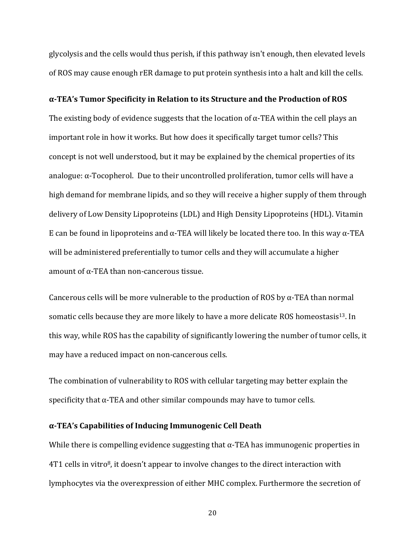glycolysis and the cells would thus perish, if this pathway isn't enough, then elevated levels of ROS may cause enough rER damage to put protein synthesis into a halt and kill the cells.

#### **α-TEA's Tumor Specificity in Relation to its Structure and the Production of ROS**

The existing body of evidence suggests that the location of  $\alpha$ -TEA within the cell plays an important role in how it works. But how does it specifically target tumor cells? This concept is not well understood, but it may be explained by the chemical properties of its analogue:  $\alpha$ -Tocopherol. Due to their uncontrolled proliferation, tumor cells will have a high demand for membrane lipids, and so they will receive a higher supply of them through delivery of Low Density Lipoproteins (LDL) and High Density Lipoproteins (HDL). Vitamin E can be found in lipoproteins and  $\alpha$ -TEA will likely be located there too. In this way  $\alpha$ -TEA will be administered preferentially to tumor cells and they will accumulate a higher amount of  $\alpha$ -TEA than non-cancerous tissue.

Cancerous cells will be more vulnerable to the production of ROS by  $\alpha$ -TEA than normal somatic cells because they are more likely to have a more delicate ROS homeostasis<sup>13</sup>. In this way, while ROS has the capability of significantly lowering the number of tumor cells, it may have a reduced impact on non-cancerous cells.

The combination of vulnerability to ROS with cellular targeting may better explain the specificity that  $\alpha$ -TEA and other similar compounds may have to tumor cells.

#### **α-TEA's Capabilities of Inducing Immunogenic Cell Death**

While there is compelling evidence suggesting that  $\alpha$ -TEA has immunogenic properties in  $4T1$  cells in vitro<sup>8</sup>, it doesn't appear to involve changes to the direct interaction with lymphocytes via the overexpression of either MHC complex. Furthermore the secretion of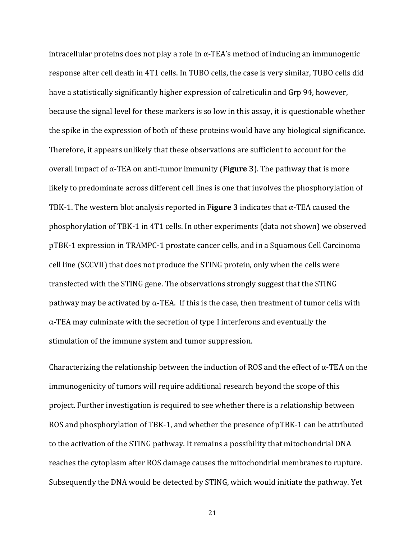intracellular proteins does not play a role in  $\alpha$ -TEA's method of inducing an immunogenic response after cell death in 4T1 cells. In TUBO cells, the case is very similar, TUBO cells did have a statistically significantly higher expression of calreticulin and Grp 94, however, because the signal level for these markers is so low in this assay, it is questionable whether the spike in the expression of both of these proteins would have any biological significance. Therefore, it appears unlikely that these observations are sufficient to account for the overall impact of  $\alpha$ -TEA on anti-tumor immunity (**Figure 3**). The pathway that is more likely to predominate across different cell lines is one that involves the phosphorylation of TBK-1. The western blot analysis reported in **Figure 3** indicates that  $\alpha$ -TEA caused the phosphorylation of TBK-1 in 4T1 cells. In other experiments (data not shown) we observed pTBK-1 expression in TRAMPC-1 prostate cancer cells, and in a Squamous Cell Carcinoma cell line (SCCVII) that does not produce the STING protein, only when the cells were transfected with the STING gene. The observations strongly suggest that the STING pathway may be activated by  $\alpha$ -TEA. If this is the case, then treatment of tumor cells with  $\alpha$ -TEA may culminate with the secretion of type I interferons and eventually the stimulation of the immune system and tumor suppression.

Characterizing the relationship between the induction of ROS and the effect of  $\alpha$ -TEA on the immunogenicity of tumors will require additional research beyond the scope of this project. Further investigation is required to see whether there is a relationship between ROS and phosphorylation of TBK-1, and whether the presence of pTBK-1 can be attributed to the activation of the STING pathway. It remains a possibility that mitochondrial DNA reaches the cytoplasm after ROS damage causes the mitochondrial membranes to rupture. Subsequently the DNA would be detected by STING, which would initiate the pathway. Yet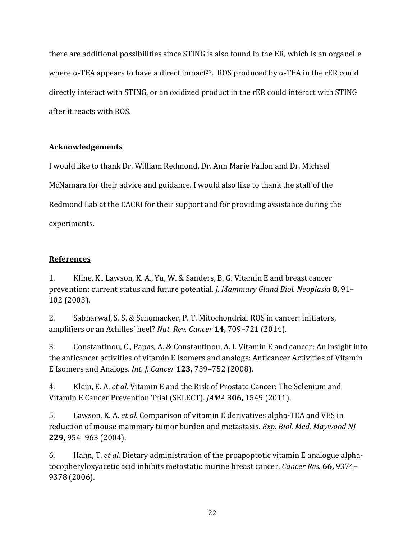there are additional possibilities since STING is also found in the ER, which is an organelle where  $\alpha$ -TEA appears to have a direct impact<sup>27</sup>. ROS produced by  $\alpha$ -TEA in the rER could directly interact with STING, or an oxidized product in the rER could interact with STING after it reacts with ROS.

## **Acknowledgements**

I would like to thank Dr. William Redmond, Dr. Ann Marie Fallon and Dr. Michael McNamara for their advice and guidance. I would also like to thank the staff of the Redmond Lab at the EACRI for their support and for providing assistance during the experiments.

## **References**

1. Kline, K., Lawson, K. A., Yu, W. & Sanders, B. G. Vitamin E and breast cancer prevention: current status and future potential. *J. Mammary Gland Biol. Neoplasia* 8, 91– 102 (2003).

2. Sabharwal, S. S. & Schumacker, P. T. Mitochondrial ROS in cancer: initiators, amplifiers or an Achilles' heel? *Nat. Rev. Cancer* **14,** 709–721 (2014).

3. Constantinou, C., Papas, A. & Constantinou, A. I. Vitamin E and cancer: An insight into the anticancer activities of vitamin E isomers and analogs: Anticancer Activities of Vitamin E Isomers and Analogs. *Int. J. Cancer* **123,** 739–752 (2008).

4. Klein, E. A. *et al.* Vitamin E and the Risk of Prostate Cancer: The Selenium and Vitamin E Cancer Prevention Trial (SELECT). *JAMA* 306, 1549 (2011).

5. Lawson, K. A. *et al.* Comparison of vitamin E derivatives alpha-TEA and VES in reduction of mouse mammary tumor burden and metastasis. *Exp. Biol. Med. Maywood NJ* **229,** 954–963 (2004).

6. Hahn, T. *et al.* Dietary administration of the proapoptotic vitamin E analogue alphatocopheryloxyacetic acid inhibits metastatic murine breast cancer. *Cancer Res.* 66, 9374– 9378 (2006).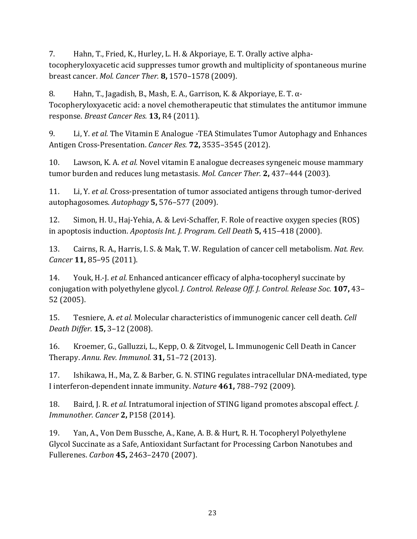7. Hahn, T., Fried, K., Hurley, L. H. & Akporiaye, E. T. Orally active alphatocopheryloxyacetic acid suppresses tumor growth and multiplicity of spontaneous murine breast cancer. *Mol. Cancer Ther.* **8,** 1570–1578 (2009).

8. Hahn, T., Jagadish, B., Mash, E. A., Garrison, K. & Akporiaye, E. T.  $\alpha$ -Tocopheryloxyacetic acid: a novel chemotherapeutic that stimulates the antitumor immune response. *Breast Cancer Res.* **13,** R4 (2011).

9. Li, Y. *et al.* The Vitamin E Analogue -TEA Stimulates Tumor Autophagy and Enhances Antigen Cross-Presentation. *Cancer Res.* **72,** 3535–3545 (2012).

10. Lawson, K. A. *et al.* Novel vitamin E analogue decreases syngeneic mouse mammary tumor burden and reduces lung metastasis. *Mol. Cancer Ther.* **2**, 437–444 (2003).

11. Li, Y. *et al.* Cross-presentation of tumor associated antigens through tumor-derived autophagosomes. *Autophagy* **5,** 576–577 (2009).

12. Simon, H. U., Haj-Yehia, A. & Levi-Schaffer, F. Role of reactive oxygen species (ROS) in apoptosis induction. *Apoptosis Int. J. Program. Cell Death* **5,** 415-418 (2000).

13. Cairns, R. A., Harris, I. S. & Mak, T. W. Regulation of cancer cell metabolism. *Nat. Rev. Cancer* **11,** 85–95 (2011).

14. Youk, H.-J. *et al.* Enhanced anticancer efficacy of alpha-tocopheryl succinate by conjugation with polyethylene glycol. *J. Control. Release Off. J. Control. Release Soc.* **107,** 43– 52 (2005).

15. Tesniere, A. *et al.* Molecular characteristics of immunogenic cancer cell death. *Cell Death Differ.* **15,** 3–12 (2008).

16. Kroemer, G., Galluzzi, L., Kepp, O. & Zitvogel, L. Immunogenic Cell Death in Cancer Therapy. *Annu. Rev. Immunol.* **31,** 51–72 (2013).

17. Ishikawa, H., Ma, Z. & Barber, G. N. STING regulates intracellular DNA-mediated, type I interferon-dependent innate immunity. *Nature* 461, 788–792 (2009).

18. Baird, J. R. *et al.* Intratumoral injection of STING ligand promotes abscopal effect. *J. Immunother. Cancer* **2,** P158 (2014).

19. Yan, A., Von Dem Bussche, A., Kane, A. B. & Hurt, R. H. Tocopheryl Polyethylene Glycol Succinate as a Safe, Antioxidant Surfactant for Processing Carbon Nanotubes and Fullerenes. *Carbon* **45,** 2463–2470 (2007).